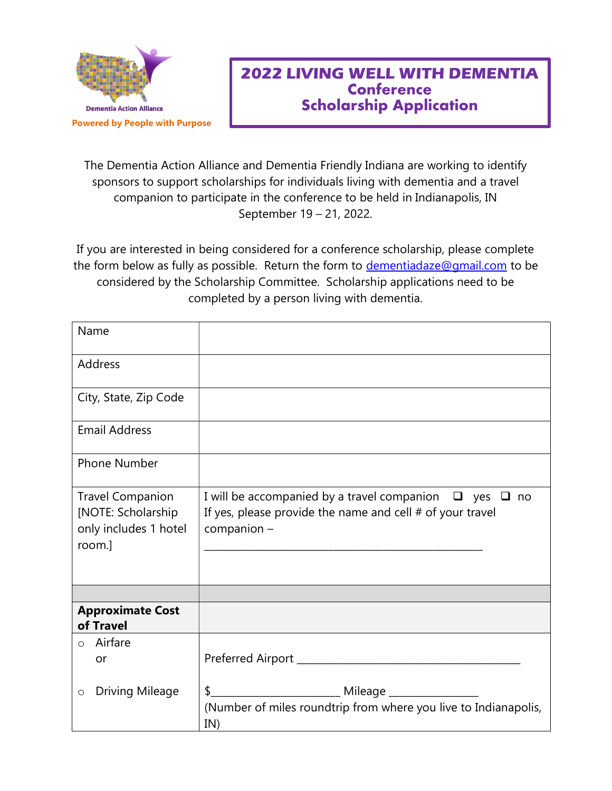

## 2022 LIVING WELL WITH DEMENTIA **Conference** Scholarship Application

The Dementia Action Alliance and Dementia Friendly Indiana are working to identify sponsors to support scholarships for individuals living with dementia and a travel companion to participate in the conference to be held in Indianapolis, IN September 19 – 21, 2022.

If you are interested in being considered for a conference scholarship, please complete the form below as fully as possible. Return the form to dementiadaze@gmail.com to be considered by the Scholarship Committee. Scholarship applications need to be completed by a person living with dementia.

| Name                                                                             |                                                                                                                                                  |
|----------------------------------------------------------------------------------|--------------------------------------------------------------------------------------------------------------------------------------------------|
| Address                                                                          |                                                                                                                                                  |
| City, State, Zip Code                                                            |                                                                                                                                                  |
| <b>Email Address</b>                                                             |                                                                                                                                                  |
| Phone Number                                                                     |                                                                                                                                                  |
| <b>Travel Companion</b><br>[NOTE: Scholarship<br>only includes 1 hotel<br>room.] | I will be accompanied by a travel companion $\Box$ yes $\Box$ no<br>If yes, please provide the name and cell $#$ of your travel<br>$companion -$ |
|                                                                                  |                                                                                                                                                  |
| <b>Approximate Cost</b><br>of Travel                                             |                                                                                                                                                  |
| $\circ$ Airfare<br>or                                                            |                                                                                                                                                  |
| <b>Driving Mileage</b><br>$\circ$                                                | \$<br>(Number of miles roundtrip from where you live to Indianapolis,<br>IN)                                                                     |